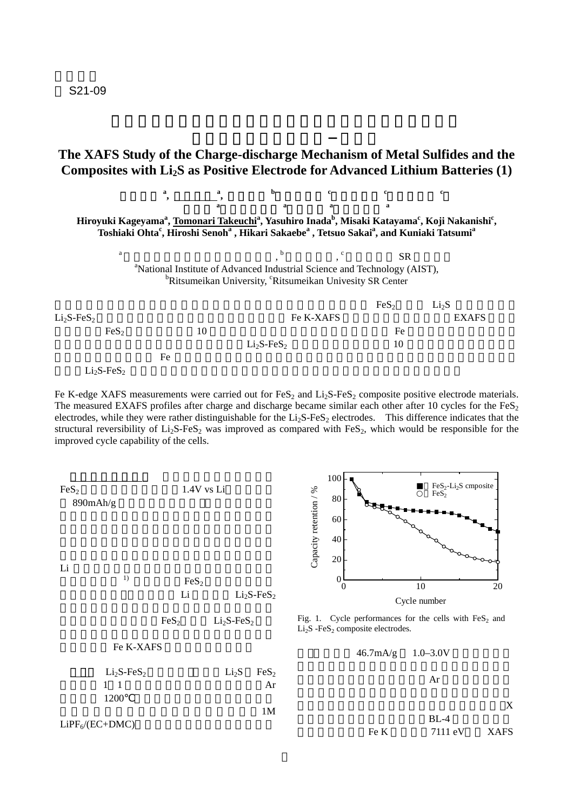S21-09

## **The XAFS Study of the Charge-discharge Mechanism of Metal Sulfides and the**  Composites with Li<sub>2</sub>S as Positive Electrode for Advanced Lithium Batteries (1)



Fe K-edge XAFS measurements were carried out for  $FeS_2$  and  $Li_2S-FeS_2$  composite positive electrode materials. The measured EXAFS profiles after charge and discharge became similar each other after 10 cycles for the  $F \in S_2$ electrodes, while they were rather distinguishable for the  $Li<sub>2</sub>S-FeS<sub>2</sub>$  electrodes. This difference indicates that the structural reversibility of  $Li<sub>2</sub>S-FeS<sub>2</sub>$  was improved as compared with FeS<sub>2</sub>, which would be responsible for the improved cycle capability of the cells.